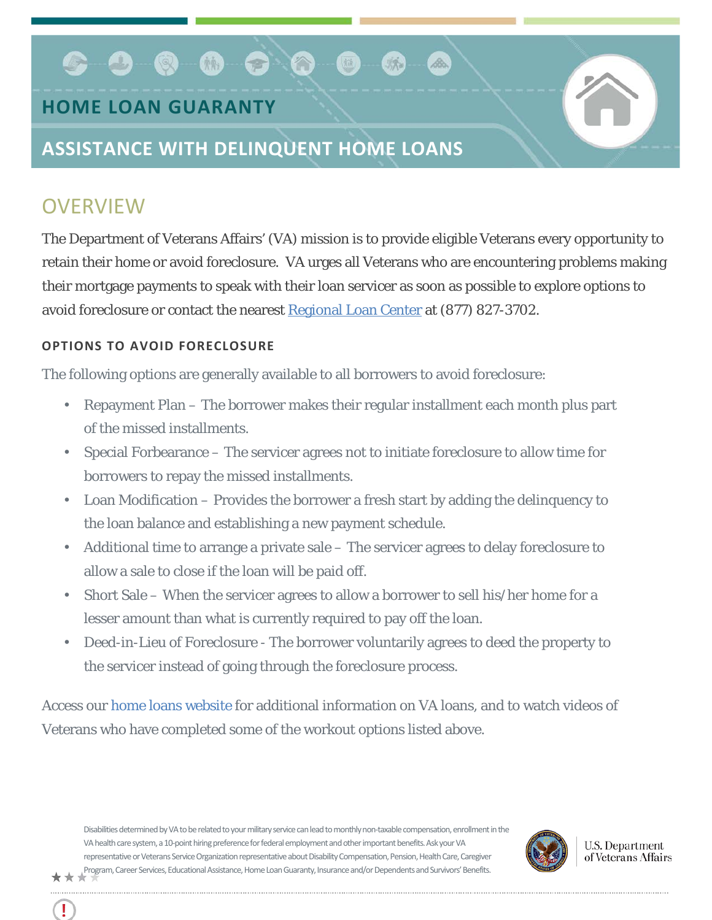# . . . . . .

### **HOME LOAN GUARANTY**

## **ASSISTANCE WITH DELINQUENT HOME LOANS**

## **OVERVIEW**

Ţ

The Department of Veterans Affairs' (VA) mission is to provide eligible Veterans every opportunity to retain their home or avoid foreclosure. VA urges all Veterans who are encountering problems making their mortgage payments to speak with their loan servicer as soon as possible to explore options to avoid foreclosure or contact the nearest [Regional Loan Center](http://www.benefits.va.gov/HOMELOANS/contact_rlc_info.asp) at (877) 827-3702.

#### **OPTIONS TO AVOID FORECLOSURE**

The following options are generally available to all borrowers to avoid foreclosure:

- Repayment Plan The borrower makes their regular installment each month plus part of the missed installments.
- Special Forbearance The servicer agrees not to initiate foreclosure to allow time for borrowers to repay the missed installments.
- Loan Modification Provides the borrower a fresh start by adding the delinquency to the loan balance and establishing a new payment schedule.
- Additional time to arrange a private sale The servicer agrees to delay foreclosure to allow a sale to close if the loan will be paid off.
- Short Sale When the servicer agrees to allow a borrower to sell his/her home for a lesser amount than what is currently required to pay off the loan.
- Deed-in-Lieu of Foreclosure The borrower voluntarily agrees to deed the property to the servicer instead of going through the foreclosure process.

Access our [home loans website](http://www.benefits.va.gov/homeloans/veteran_borrowers.asp) for additional information on VA loans, and to watch videos of Veterans who have completed some of the workout options listed above.

Disabilities determined by VA to be related to your military service can lead to monthly non-taxable compensation, enrollment in the VA health care system, a 10-point hiring preference for federal employment and other important benefits. Ask your VA representative or Veterans Service Organization representative about Disability Compensation, Pension, Health Care, Caregiver Program, Career Services, Educational Assistance, Home Loan Guaranty, Insurance and/or Dependents and Survivors' Benefits. \*\*\*



**U.S. Department** of Veterans Affairs